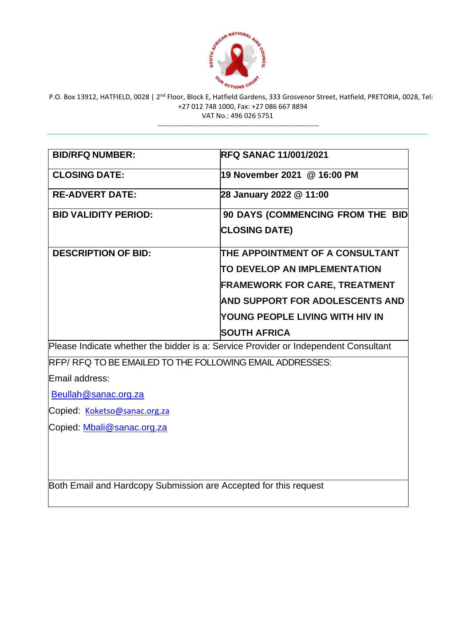

---------------------------------------------------------------------

| <b>BID/RFQ NUMBER:</b>                                                              | <b>RFQ SANAC 11/001/2021</b>         |
|-------------------------------------------------------------------------------------|--------------------------------------|
| <b>CLOSING DATE:</b>                                                                | 19 November 2021 @ 16:00 PM          |
| <b>RE-ADVERT DATE:</b>                                                              | 28 January 2022 @ 11:00              |
| <b>BID VALIDITY PERIOD:</b>                                                         | 90 DAYS (COMMENCING FROM THE BID     |
|                                                                                     | <b>CLOSING DATE)</b>                 |
| <b>DESCRIPTION OF BID:</b>                                                          | THE APPOINTMENT OF A CONSULTANT      |
|                                                                                     | TO DEVELOP AN IMPLEMENTATION         |
|                                                                                     | <b>FRAMEWORK FOR CARE, TREATMENT</b> |
|                                                                                     | AND SUPPORT FOR ADOLESCENTS AND      |
|                                                                                     | YOUNG PEOPLE LIVING WITH HIV IN      |
|                                                                                     | <b>SOUTH AFRICA</b>                  |
| Please Indicate whether the bidder is a: Service Provider or Independent Consultant |                                      |
| RFP/RFQ TO BE EMAILED TO THE FOLLOWING EMAIL ADDRESSES:                             |                                      |
| Email address:                                                                      |                                      |
| Beullah@sanac.org.za                                                                |                                      |
| Copied: Koketso@sanac.org.za                                                        |                                      |
| Copied: Mbali@sanac.org.za                                                          |                                      |
|                                                                                     |                                      |
|                                                                                     |                                      |
| Both Email and Hardcopy Submission are Accepted for this request                    |                                      |
|                                                                                     |                                      |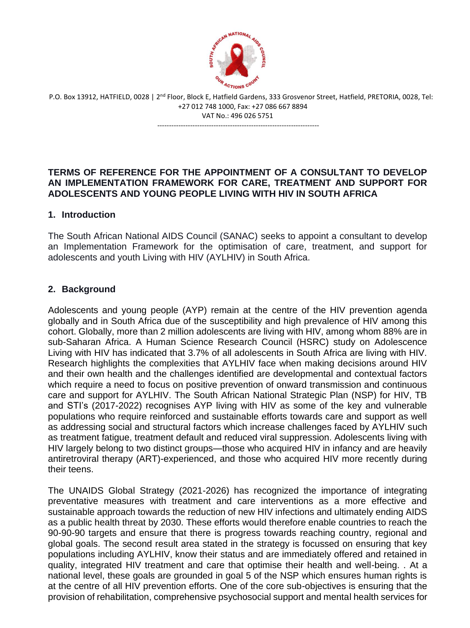

---------------------------------------------------------------------

#### **TERMS OF REFERENCE FOR THE APPOINTMENT OF A CONSULTANT TO DEVELOP AN IMPLEMENTATION FRAMEWORK FOR CARE, TREATMENT AND SUPPORT FOR ADOLESCENTS AND YOUNG PEOPLE LIVING WITH HIV IN SOUTH AFRICA**

#### **1. Introduction**

The South African National AIDS Council (SANAC) seeks to appoint a consultant to develop an Implementation Framework for the optimisation of care, treatment, and support for adolescents and youth Living with HIV (AYLHIV) in South Africa.

## **2. Background**

Adolescents and young people (AYP) remain at the centre of the HIV prevention agenda globally and in South Africa due of the susceptibility and high prevalence of HIV among this cohort. Globally, more than 2 million adolescents are living with HIV, among whom 88% are in sub-Saharan Africa. A Human Science Research Council (HSRC) study on Adolescence Living with HIV has indicated that 3.7% of all adolescents in South Africa are living with HIV. Research highlights the complexities that AYLHIV face when making decisions around HIV and their own health and the challenges identified are developmental and contextual factors which require a need to focus on positive prevention of onward transmission and continuous care and support for AYLHIV. The South African National Strategic Plan (NSP) for HIV, TB and STI's (2017-2022) recognises AYP living with HIV as some of the key and vulnerable populations who require reinforced and sustainable efforts towards care and support as well as addressing social and structural factors which increase challenges faced by AYLHIV such as treatment fatigue, treatment default and reduced viral suppression. Adolescents living with HIV largely belong to two distinct groups—those who acquired HIV in infancy and are heavily antiretroviral therapy (ART)-experienced, and those who acquired HIV more recently during their teens.

The UNAIDS Global Strategy (2021-2026) has recognized the importance of integrating preventative measures with treatment and care interventions as a more effective and sustainable approach towards the reduction of new HIV infections and ultimately ending AIDS as a public health threat by 2030. These efforts would therefore enable countries to reach the 90-90-90 targets and ensure that there is progress towards reaching country, regional and global goals. The second result area stated in the strategy is focussed on ensuring that key populations including AYLHIV, know their status and are immediately offered and retained in quality, integrated HIV treatment and care that optimise their health and well-being. . At a national level, these goals are grounded in goal 5 of the NSP which ensures human rights is at the centre of all HIV prevention efforts. One of the core sub-objectives is ensuring that the provision of rehabilitation, comprehensive psychosocial support and mental health services for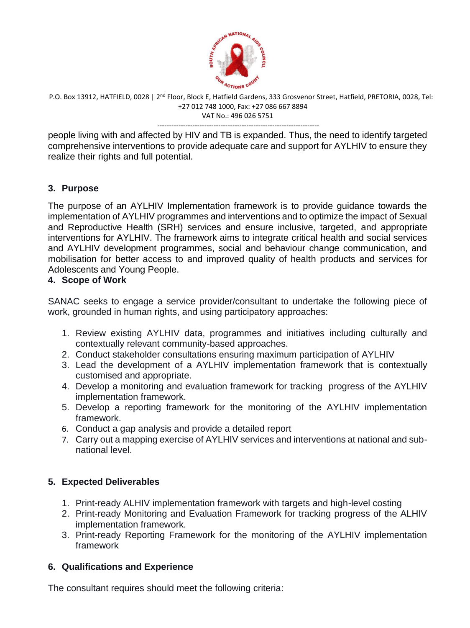

---------------------------------------------------------------------

people living with and affected by HIV and TB is expanded. Thus, the need to identify targeted comprehensive interventions to provide adequate care and support for AYLHIV to ensure they realize their rights and full potential.

## **3. Purpose**

The purpose of an AYLHIV Implementation framework is to provide guidance towards the implementation of AYLHIV programmes and interventions and to optimize the impact of Sexual and Reproductive Health (SRH) services and ensure inclusive, targeted, and appropriate interventions for AYLHIV. The framework aims to integrate critical health and social services and AYLHIV development programmes, social and behaviour change communication, and mobilisation for better access to and improved quality of health products and services for Adolescents and Young People.

#### **4. Scope of Work**

SANAC seeks to engage a service provider/consultant to undertake the following piece of work, grounded in human rights, and using participatory approaches:

- 1. Review existing AYLHIV data, programmes and initiatives including culturally and contextually relevant community-based approaches.
- 2. Conduct stakeholder consultations ensuring maximum participation of AYLHIV
- 3. Lead the development of a AYLHIV implementation framework that is contextually customised and appropriate.
- 4. Develop a monitoring and evaluation framework for tracking progress of the AYLHIV implementation framework.
- 5. Develop a reporting framework for the monitoring of the AYLHIV implementation framework.
- 6. Conduct a gap analysis and provide a detailed report
- 7. Carry out a mapping exercise of AYLHIV services and interventions at national and subnational level.

## **5. Expected Deliverables**

- 1. Print-ready ALHIV implementation framework with targets and high-level costing
- 2. Print-ready Monitoring and Evaluation Framework for tracking progress of the ALHIV implementation framework.
- 3. Print-ready Reporting Framework for the monitoring of the AYLHIV implementation framework

## **6. Qualifications and Experience**

The consultant requires should meet the following criteria: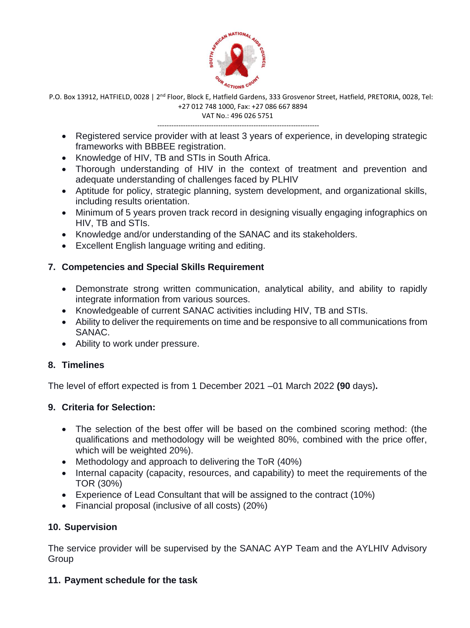

---------------------------------------------------------------------

- Registered service provider with at least 3 years of experience, in developing strategic frameworks with BBBEE registration.
- Knowledge of HIV, TB and STIs in South Africa.
- Thorough understanding of HIV in the context of treatment and prevention and adequate understanding of challenges faced by PLHIV
- Aptitude for policy, strategic planning, system development, and organizational skills, including results orientation.
- Minimum of 5 years proven track record in designing visually engaging infographics on HIV, TB and STIs.
- Knowledge and/or understanding of the SANAC and its stakeholders.
- Excellent English language writing and editing.

# **7. Competencies and Special Skills Requirement**

- Demonstrate strong written communication, analytical ability, and ability to rapidly integrate information from various sources.
- Knowledgeable of current SANAC activities including HIV, TB and STIs.
- Ability to deliver the requirements on time and be responsive to all communications from SANAC.
- Ability to work under pressure.

# **8. Timelines**

The level of effort expected is from 1 December 2021 –01 March 2022 **(90** days)**.**

## **9. Criteria for Selection:**

- The selection of the best offer will be based on the combined scoring method: (the qualifications and methodology will be weighted 80%, combined with the price offer, which will be weighted 20%).
- Methodology and approach to delivering the ToR (40%)
- Internal capacity (capacity, resources, and capability) to meet the requirements of the TOR (30%)
- Experience of Lead Consultant that will be assigned to the contract (10%)
- Financial proposal (inclusive of all costs) (20%)

# **10. Supervision**

The service provider will be supervised by the SANAC AYP Team and the AYLHIV Advisory Group

## **11. Payment schedule for the task**